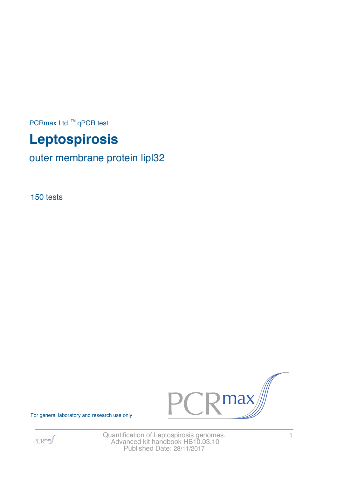PCRmax Ltd  $™$  qPCR test

# **Leptospirosis**

outer membrane protein lipl32

150 tests



For general laboratory and research use only



Quantification of Leptospirosis genomes. 4 Advanced kit handbook HB10.03.10 Published Date: 28/11/2017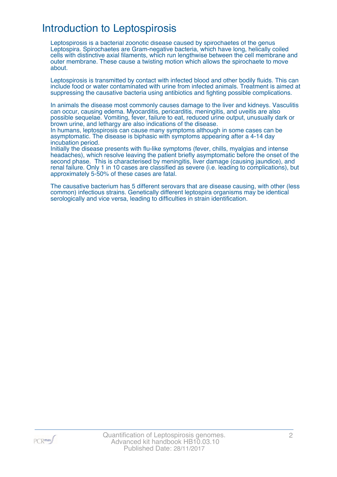# Introduction to Leptospirosis

Leptospirosis is a bacterial zoonotic disease caused by spirochaetes of the genus Leptospira. Spirochaetes are Gram-negative bacteria, which have long, helically coiled cells with distinctive axial filaments, which run lengthwise between the cell membrane and outer membrane. These cause a twisting motion which allows the spirochaete to move about.

Leptospirosis is transmitted by contact with infected blood and other bodily fluids. This can include food or water contaminated with urine from infected animals. Treatment is aimed at suppressing the causative bacteria using antibiotics and fighting possible complications.

In animals the disease most commonly causes damage to the liver and kidneys. Vasculitis can occur, causing edema. Myocarditis, pericarditis, meningitis, and uveitis are also possible sequelae. Vomiting, fever, failure to eat, reduced urine output, unusually dark or brown urine, and lethargy are also indications of the disease.

In humans, leptospirosis can cause many symptoms although in some cases can be asymptomatic. The disease is biphasic with symptoms appearing after a 4-14 day incubation period.

Initially the disease presents with flu-like symptoms (fever, chills, myalgias and intense headaches), which resolve leaving the patient briefly asymptomatic before the onset of the second phase. This is characterised by meningitis, liver damage (causing jaundice), and renal failure. Only 1 in 10 cases are classified as severe (i.e. leading to complications), but approximately 5-50% of these cases are fatal.

The causative bacterium has 5 different serovars that are disease causing, with other (less common) infectious strains. Genetically different leptospira organisms may be identical serologically and vice versa, leading to difficulties in strain identification.

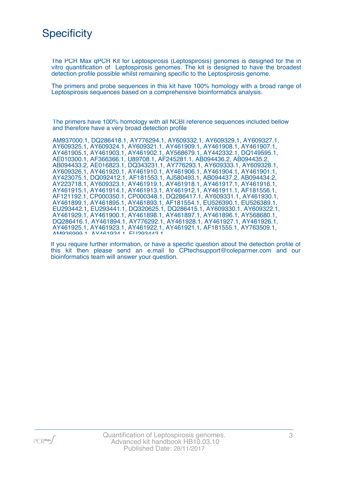### **Specificity**

The PCR Max qPCR Kit for Leptospirosis (Leptospirosis) genomes is designed for the in vitro quantification of Leptospirosis genomes. The kit is designed to have the broadest detection profile possible whilst remaining specific to the Leptospirosis genome.

The primers and probe sequences in this kit have 100% homology with a broad range of Leptospirosis sequences based on a comprehensive bioinformatics analysis.

The primers have 100% homology with all NCBI reference sequences included bellow and therefore have a very broad detection profile

| AM937000.1, DQ286418.1, AY776294.1, AY609332.1, AY609329.1, AY609327.1, |
|-------------------------------------------------------------------------|
| AY609325.1, AY609324.1, AY609321.1, AY461909.1, AY461908.1, AY461907.1, |
| AY461905.1, AY461903.1, AY461902.1, AY568679.1, AY442332.1, DQ149595.1, |
| AE010300.1, AF366366.1, U89708.1, AF245281.1, AB094436.2, AB094435.2,   |
| AB094433.2, AE016823.1, DQ343231.1, AY776293.1, AY609333.1, AY609328.1, |
| AY609326.1, AY461920.1, AY461910.1, AY461906.1, AY461904.1, AY461901.1, |
| AY423075.1, DQ092412.1, AF181553.1, AJ580493.1, AB094437.2, AB094434.2, |
| AY223718.1, AY609323.1, AY461919.1, AY461918.1, AY461917.1, AY461916.1, |
| AY461915.1, AY461914.1, AY461913.1, AY461912.1, AY461911.1, AF181556.1, |
| AF121192.1, CP000350.1, CP000348.1, DQ286417.1, AY609331.1, AY461930.1, |
| AY461899.1, AY461895.1, AY461893.1, AF181554.1, EU526390.1, EU526389.1, |
| EU293442.1, EU293441.1, DQ320625.1, DQ286415.1, AY609330.1, AY609322.1, |
| AY461929.1, AY461900.1, AY461898.1, AY461897.1, AY461896.1, AY568680.1, |
| DQ286416.1, AY461894.1, AY776292.1, AY461928.1, AY461927.1, AY461926.1, |
| AY461925.1, AY461923.1, AY461922.1, AY461921.1, AF181555.1, AY763509.1, |
| 036000 1 AV461094 1 FID03443 1                                          |
|                                                                         |

If you require further information, or have a specific question about the detection profile of this kit then please send an e.mail to CPtechsupport@coleparmer.com and our bioinformatics team will answer your question.

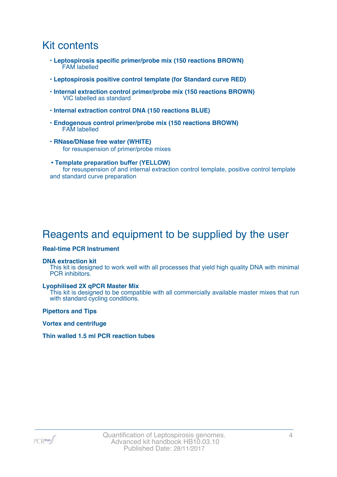### Kit contents

- **Leptospirosis specific primer/probe mix (150 reactions BROWN)** FAM labelled
- **Leptospirosis positive control template (for Standard curve RED)**
- **Internal extraction control primer/probe mix (150 reactions BROWN)** VIC labelled as standard
- **Internal extraction control DNA (150 reactions BLUE)**
- **Endogenous control primer/probe mix (150 reactions BROWN)** FAM labelled
- **RNase/DNase free water (WHITE)** for resuspension of primer/probe mixes
- **Template preparation buffer (YELLOW)** for resuspension of and internal extraction control template, positive control template and standard curve preparation

# Reagents and equipment to be supplied by the user

#### **Real-time PCR Instrument**

#### **DNA extraction kit**

This kit is designed to work well with all processes that yield high quality DNA with minimal PCR inhibitors.

#### **Lyophilised 2X qPCR Master Mix**

This kit is designed to be compatible with all commercially available master mixes that run with standard cycling conditions.

**Pipettors and Tips**

**Vortex and centrifuge**

#### **Thin walled 1.5 ml PCR reaction tubes**

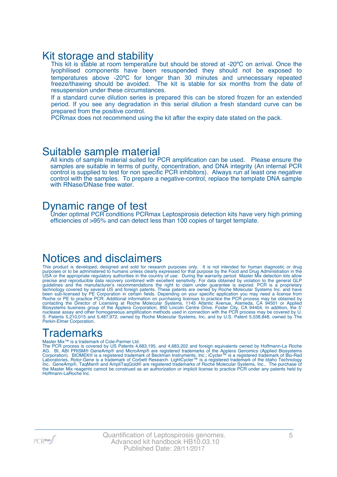### Kit storage and stability

This kit is stable at room temperature but should be stored at -20°C on arrival. Once the lyophilised components have been resuspended they should not be exposed to temperatures above -20ºC for longer than 30 minutes and unnecessary repeated freeze/thawing should be avoided. The kit is stable for six months from the date of resuspension under these circumstances.

If a standard curve dilution series is prepared this can be stored frozen for an extended period. If you see any degradation in this serial dilution a fresh standard curve can be prepared from the positive control.

PCRmax does not recommend using the kit after the expiry date stated on the pack.

### Suitable sample material

All kinds of sample material suited for PCR amplification can be used. Please ensure the samples are suitable in terms of purity, concentration, and DNA integrity (An internal PCR control is supplied to test for non specific PCR inhibitors). Always run at least one negative control with the samples. To prepare a negative-control, replace the template DNA sample with RNase/DNase free water.

### Dynamic range of test

Under optimal PCR conditions PCRmax Leptospirosis detection kits have very high priming efficiencies of >95% and can detect less than 100 copies of target template.

### Notices and disclaimers

This product is developed, designed and sold for research purposes only. It is not intended for human diagnostic or drug purposes or to be administered to humans unless clearly expressed for that purpose by the Food and Drug Administration in the USA or the appropriate regulatory authorities in the country of use. During the warranty period Master Mix detection kits allow precise and reproducible data recovery combined with excellent sensitivity. For data obtained by violation to the general GLP guidelines and the manufacturer's recommendations the right to claim under guarantee is expired. PCR is a proprietary technology covered by several US and foreign patents. These patents are owned by Roche Molecular Systems Inc. and have been sub-licensed by PE Corporation in certain fields. Depending on your specific application you may need a license from Roche or PE to practice PCR. Additional information on purchasing licenses to practice the PCR process may be obtained by contacting the Director of Licensing at Roche Molecular Systems, 1145 Atlantic Avenue, Alameda, CA 94501 or Applied Biosystems business group of the Applera Corporation, 850 Lincoln Centre Drive, Foster City, CA 94404. In addition, the 5' nuclease assay and other homogeneous amplification methods used in connection with the PCR process may be covered by U. S. Patents 5,210,015 and 5,487,972, owned by Roche Molecular Systems, Inc, and by U.S. Patent 5,538,848, owned by The Perkin-Elmer Corporation.

# **Trademarks**

#### Master Mix™ is a trademark of Cole-Parmer Ltd.

The PCR process is covered by US Patents 4,683,195, and 4,683,202 and foreign equivalents owned by Hoffmann-La Roche AG. BI, ABI PRISM® GeneAmp® and MicroAmp® are registered trademarks of the Applera Genomics (Applied Biosystems Corporation). BIOMEK® is a registered trademark of Beckman Instruments, Inc.; iCycler™ is a registered trademark of Bio-Rad Laboratories, Rotor-Gene is a trademark of Corbett Research. LightCycler™ is a registered trademark of the Idaho Technology Inc. GeneAmp®, TaqMan® and AmpliTaqGold® are registered trademarks of Roche Molecular Systems, Inc., The purchase of the Master Mix reagents cannot be construed as an authorization or implicit license to practice PCR under any patents held by Hoffmann-LaRoche Inc.

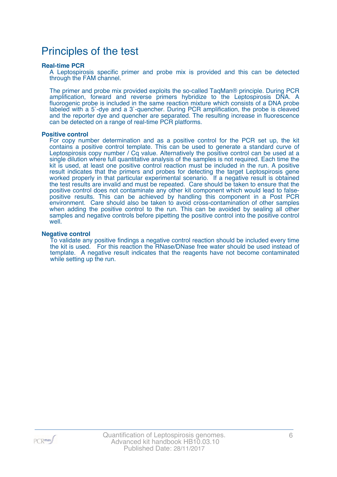### Principles of the test

#### **Real-time PCR**

A Leptospirosis specific primer and probe mix is provided and this can be detected through the FAM channel.

The primer and probe mix provided exploits the so-called TaqMan® principle. During PCR amplification, forward and reverse primers hybridize to the Leptospirosis DNA. A fluorogenic probe is included in the same reaction mixture which consists of a DNA probe labeled with a 5`-dye and a 3`-quencher. During PCR amplification, the probe is cleaved and the reporter dye and quencher are separated. The resulting increase in fluorescence can be detected on a range of real-time PCR platforms.

#### **Positive control**

For copy number determination and as a positive control for the PCR set up, the kit contains a positive control template. This can be used to generate a standard curve of Leptospirosis copy number / Cq value. Alternatively the positive control can be used at a single dilution where full quantitative analysis of the samples is not required. Each time the kit is used, at least one positive control reaction must be included in the run. A positive result indicates that the primers and probes for detecting the target Leptospirosis gene worked properly in that particular experimental scenario. If a negative result is obtained the test results are invalid and must be repeated. Care should be taken to ensure that the positive control does not contaminate any other kit component which would lead to falsepositive results. This can be achieved by handling this component in a Post PCR environment. Care should also be taken to avoid cross-contamination of other samples when adding the positive control to the run. This can be avoided by sealing all other samples and negative controls before pipetting the positive control into the positive control well.

#### **Negative control**

To validate any positive findings a negative control reaction should be included every time the kit is used. For this reaction the RNase/DNase free water should be used instead of template. A negative result indicates that the reagents have not become contaminated while setting up the run.

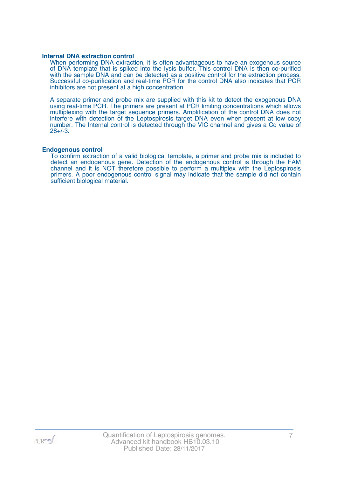#### **Internal DNA extraction control**

When performing DNA extraction, it is often advantageous to have an exogenous source of DNA template that is spiked into the lysis buffer. This control DNA is then co-purified with the sample DNA and can be detected as a positive control for the extraction process. Successful co-purification and real-time PCR for the control DNA also indicates that PCR inhibitors are not present at a high concentration.

A separate primer and probe mix are supplied with this kit to detect the exogenous DNA using real-time PCR. The primers are present at PCR limiting concentrations which allows multiplexing with the target sequence primers. Amplification of the control DNA does not interfere with detection of the Leptospirosis target DNA even when present at low copy number. The Internal control is detected through the VIC channel and gives a Cq value of 28+/-3.

#### **Endogenous control**

To confirm extraction of a valid biological template, a primer and probe mix is included to detect an endogenous gene. Detection of the endogenous control is through the FAM channel and it is NOT therefore possible to perform a multiplex with the Leptospirosis primers. A poor endogenous control signal may indicate that the sample did not contain sufficient biological material.

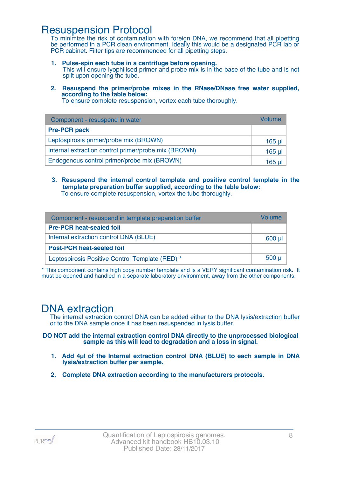### Resuspension Protocol

To minimize the risk of contamination with foreign DNA, we recommend that all pipetting be performed in a PCR clean environment. Ideally this would be a designated PCR lab or PCR cabinet. Filter tips are recommended for all pipetting steps.

- **1. Pulse-spin each tube in a centrifuge before opening.** This will ensure lyophilised primer and probe mix is in the base of the tube and is not spilt upon opening the tube.
- **2. Resuspend the primer/probe mixes in the RNase/DNase free water supplied, according to the table below:**

To ensure complete resuspension, vortex each tube thoroughly.

| Component - resuspend in water                       | Volume   |
|------------------------------------------------------|----------|
| <b>Pre-PCR pack</b>                                  |          |
| Leptospirosis primer/probe mix (BROWN)               | $165$ µl |
| Internal extraction control primer/probe mix (BROWN) | $165$ µl |
| Endogenous control primer/probe mix (BROWN)          | 165 ul   |

**3. Resuspend the internal control template and positive control template in the template preparation buffer supplied, according to the table below:** To ensure complete resuspension, vortex the tube thoroughly.

| Component - resuspend in template preparation buffer | Volume               |
|------------------------------------------------------|----------------------|
| <b>Pre-PCR heat-sealed foil</b>                      |                      |
| Internal extraction control DNA (BLUE)               | $600$ µl $\parallel$ |
| <b>Post-PCR heat-sealed foil</b>                     |                      |
| Leptospirosis Positive Control Template (RED) *      | $500$ µl             |

\* This component contains high copy number template and is a VERY significant contamination risk. It must be opened and handled in a separate laboratory environment, away from the other components.

### DNA extraction

The internal extraction control DNA can be added either to the DNA lysis/extraction buffer or to the DNA sample once it has been resuspended in lysis buffer.

**DO NOT add the internal extraction control DNA directly to the unprocessed biological sample as this will lead to degradation and a loss in signal.**

- **1. Add 4µl of the Internal extraction control DNA (BLUE) to each sample in DNA lysis/extraction buffer per sample.**
- **2. Complete DNA extraction according to the manufacturers protocols.**

 $PCR$ max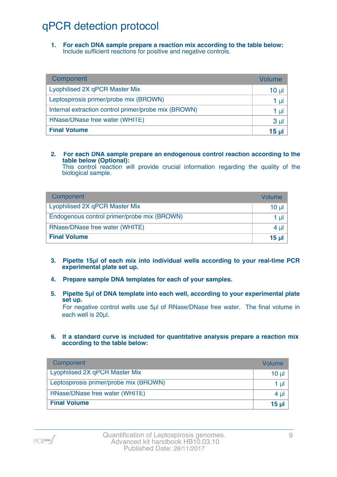# qPCR detection protocol

**1. For each DNA sample prepare a reaction mix according to the table below:** Include sufficient reactions for positive and negative controls.

| Component                                            | Volume          |
|------------------------------------------------------|-----------------|
| Lyophilised 2X qPCR Master Mix                       | 10 <sub>µ</sub> |
| Leptospirosis primer/probe mix (BROWN)               | 1 µl            |
| Internal extraction control primer/probe mix (BROWN) | 1 µl            |
| RNase/DNase free water (WHITE)                       | 3 <sub>µ</sub>  |
| <b>Final Volume</b>                                  | 15 <sub>µ</sub> |

#### **2. For each DNA sample prepare an endogenous control reaction according to the table below (Optional):**

This control reaction will provide crucial information regarding the quality of the biological sample.

| Component                                   | Volume       |
|---------------------------------------------|--------------|
| Lyophilised 2X qPCR Master Mix              | 10 ul        |
| Endogenous control primer/probe mix (BROWN) | 1 ul         |
| RNase/DNase free water (WHITE)              | 4 ul         |
| <b>Final Volume</b>                         | <u>15 ul</u> |

- **3. Pipette 15µl of each mix into individual wells according to your real-time PCR experimental plate set up.**
- **4. Prepare sample DNA templates for each of your samples.**
- **5. Pipette 5µl of DNA template into each well, according to your experimental plate set up.**

For negative control wells use 5µl of RNase/DNase free water. The final volume in each well is 20ul.

**6. If a standard curve is included for quantitative analysis prepare a reaction mix according to the table below:**

| Component                              | Volume   |
|----------------------------------------|----------|
| Lyophilised 2X qPCR Master Mix         | $10 \mu$ |
| Leptospirosis primer/probe mix (BROWN) | 1 $\mu$  |
| RNase/DNase free water (WHITE)         | 4 $\mu$  |
| <b>Final Volume</b>                    | 15 $\mu$ |

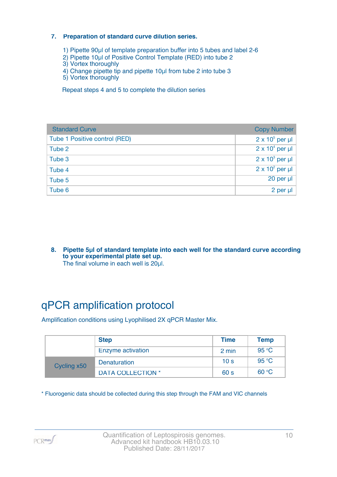#### **7. Preparation of standard curve dilution series.**

- 1) Pipette 90µl of template preparation buffer into 5 tubes and label 2-6
- 2) Pipette 10µl of Positive Control Template (RED) into tube 2
- 3) Vortex thoroughly
- 4) Change pipette tip and pipette 10µl from tube 2 into tube 3
- 5) Vortex thoroughly

Repeat steps 4 and 5 to complete the dilution series

| <b>Standard Curve</b>         | <b>Copy Number</b>     |
|-------------------------------|------------------------|
| Tube 1 Positive control (RED) | $2 \times 10^5$ per µl |
| Tube 2                        | $2 \times 10^4$ per µl |
| Tube 3                        | $2 \times 10^3$ per µl |
| Tube 4                        | $2 \times 10^2$ per µl |
| Tube 5                        | 20 per µl              |
| Tube 6                        | 2 per µl               |

**8. Pipette 5µl of standard template into each well for the standard curve according to your experimental plate set up.** The final volume in each well is 20µl.

# qPCR amplification protocol

Amplification conditions using Lyophilised 2X qPCR Master Mix.

|             | <b>Step</b>              | <b>Time</b>     | <b>Temp</b> |
|-------------|--------------------------|-----------------|-------------|
|             | Enzyme activation        | 2 min           | 95 °C       |
| Cycling x50 | Denaturation             | 10 <sub>s</sub> | 95 °C       |
|             | <b>DATA COLLECTION *</b> | 60 s            | 60 °C       |

\* Fluorogenic data should be collected during this step through the FAM and VIC channels

PCR<sub>max</sub>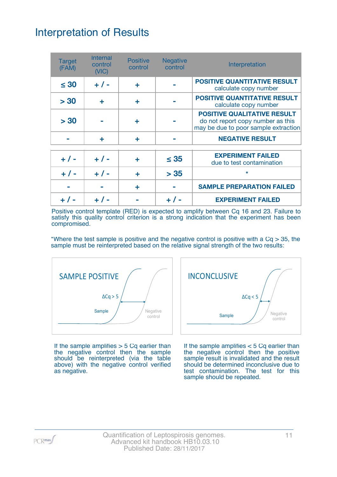# Interpretation of Results

| <b>Target</b><br>(FAM) | <b>Internal</b><br>control<br>(VIC) | <b>Positive</b><br>control | <b>Negative</b><br>control | Interpretation                                                                                                  |
|------------------------|-------------------------------------|----------------------------|----------------------------|-----------------------------------------------------------------------------------------------------------------|
| $\leq 30$              | $+ 1 -$                             | ÷                          |                            | <b>POSITIVE QUANTITATIVE RESULT</b><br>calculate copy number                                                    |
| > 30                   | ÷                                   | ÷                          |                            | <b>POSITIVE QUANTITATIVE RESULT</b><br>calculate copy number                                                    |
| > 30                   |                                     | ٠                          |                            | <b>POSITIVE QUALITATIVE RESULT</b><br>do not report copy number as this<br>may be due to poor sample extraction |
|                        | ÷                                   | ÷                          |                            | <b>NEGATIVE RESULT</b>                                                                                          |
| $+ 1 -$                | $+ 1 -$                             | ٠                          | $\leq 35$                  | <b>EXPERIMENT FAILED</b><br>due to test contamination                                                           |
| $+ 1 -$                | $+ 1 -$                             | ÷                          | > 35                       | $\star$                                                                                                         |
|                        |                                     | ÷                          |                            | <b>SAMPLE PREPARATION FAILED</b>                                                                                |
|                        |                                     |                            |                            | <b>EXPERIMENT FAILED</b>                                                                                        |

Positive control template (RED) is expected to amplify between Cq 16 and 23. Failure to satisfy this quality control criterion is a strong indication that the experiment has been compromised.

\*Where the test sample is positive and the negative control is positive with a  $Cq > 35$ , the sample must be reinterpreted based on the relative signal strength of the two results:



If the sample amplifies  $> 5$  Cq earlier than the negative control then the sample should be reinterpreted (via the table above) with the negative control verified as negative.



If the sample amplifies < 5 Cq earlier than the negative control then the positive sample result is invalidated and the result should be determined inconclusive due to test contamination. The test for this sample should be repeated.